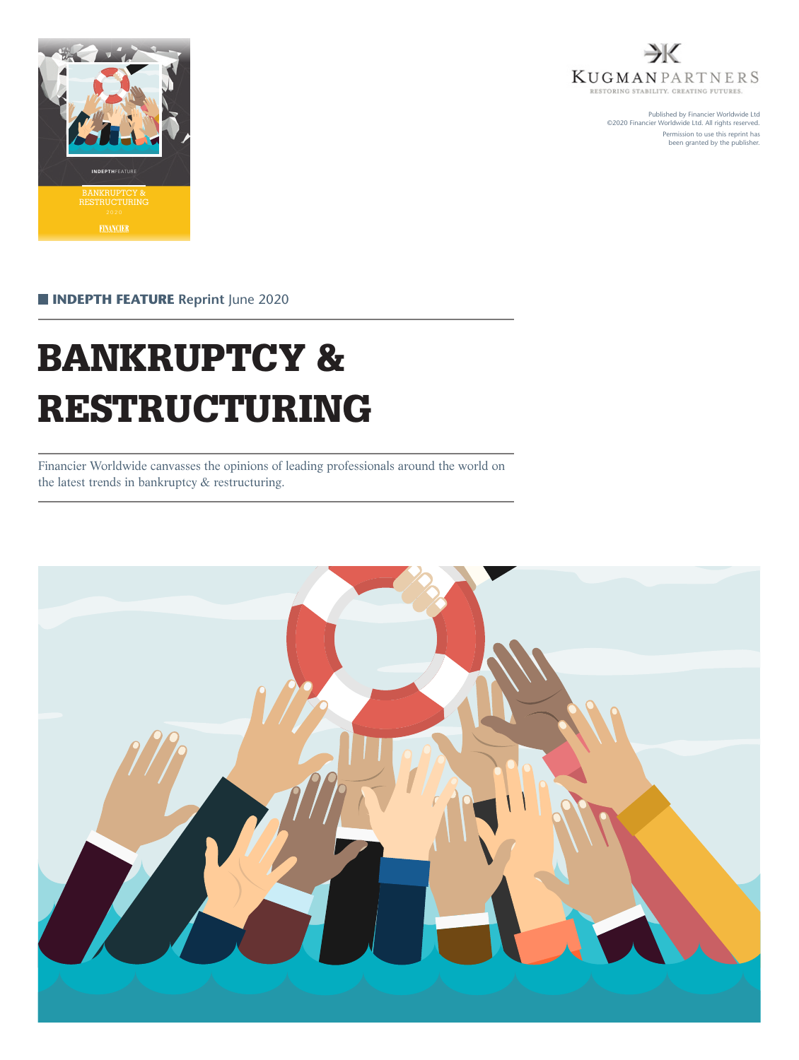



Published by Financier Worldwide Ltd ©2020 Financier Worldwide Ltd. All rights reserved. Permission to use this reprint has been granted by the publisher.

**INDEPTH FEATURE** Reprint June 2020

# BANKRUPTCY & RESTRUCTURING

Financier Worldwide canvasses the opinions of leading professionals around the world on the latest trends in bankruptcy & restructuring.

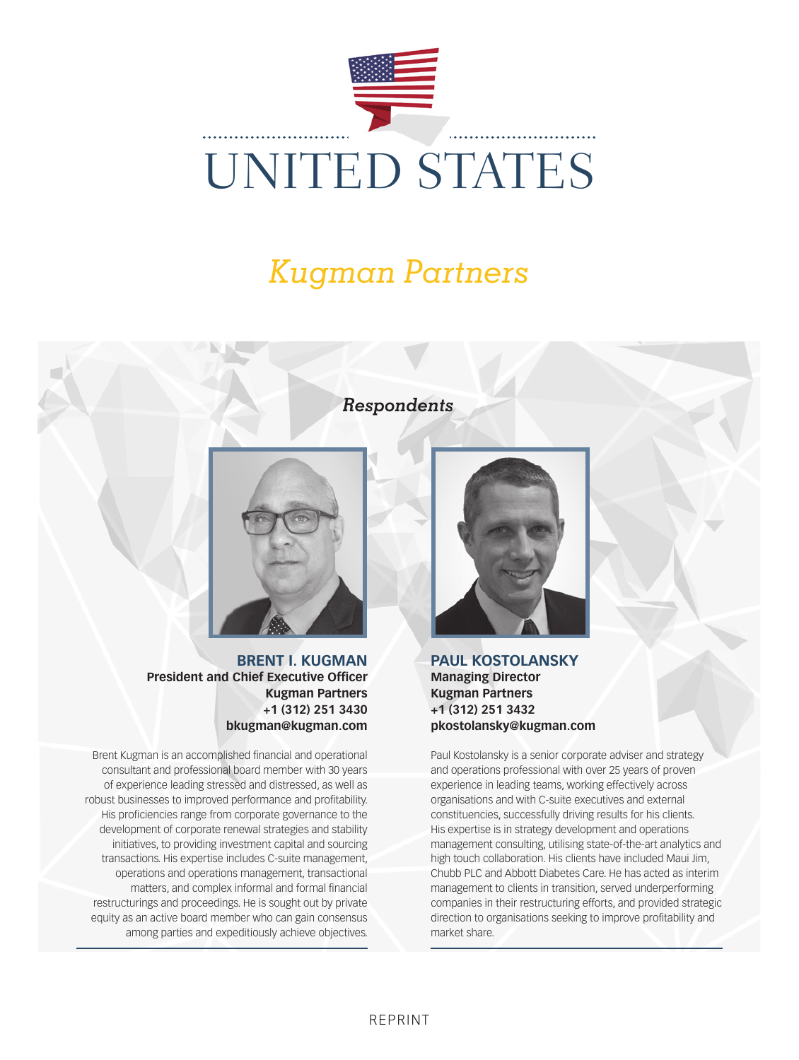

### *Respondents*



**BRENT I. KUGMAN President and Chief Executive Officer Kugman Partners +1 (312) 251 3430 bkugman@kugman.com**

Brent Kugman is an accomplished financial and operational consultant and professional board member with 30 years of experience leading stressed and distressed, as well as robust businesses to improved performance and profitability. His proficiencies range from corporate governance to the development of corporate renewal strategies and stability initiatives, to providing investment capital and sourcing transactions. His expertise includes C-suite management, operations and operations management, transactional matters, and complex informal and formal financial restructurings and proceedings. He is sought out by private equity as an active board member who can gain consensus among parties and expeditiously achieve objectives.



**PAUL KOSTOLANSKY Managing Director Kugman Partners +1 (312) 251 3432 pkostolansky@kugman.com**

Paul Kostolansky is a senior corporate adviser and strategy and operations professional with over 25 years of proven experience in leading teams, working effectively across organisations and with C-suite executives and external constituencies, successfully driving results for his clients. His expertise is in strategy development and operations management consulting, utilising state-of-the-art analytics and high touch collaboration. His clients have included Maui Jim, Chubb PLC and Abbott Diabetes Care. He has acted as interim management to clients in transition, served underperforming companies in their restructuring efforts, and provided strategic direction to organisations seeking to improve profitability and market share.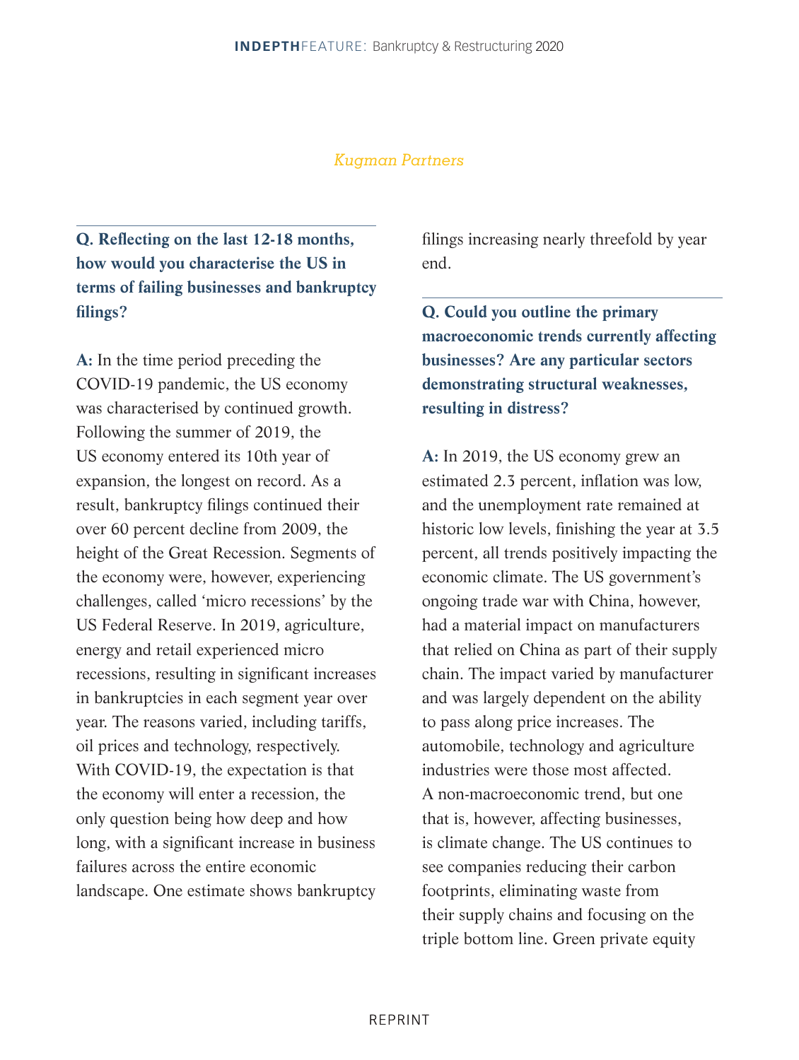**Q. Reflecting on the last 12-18 months, how would you characterise the US in terms of failing businesses and bankruptcy filings?**

**A:** In the time period preceding the COVID-19 pandemic, the US economy was characterised by continued growth. Following the summer of 2019, the US economy entered its 10th year of expansion, the longest on record. As a result, bankruptcy filings continued their over 60 percent decline from 2009, the height of the Great Recession. Segments of the economy were, however, experiencing challenges, called 'micro recessions' by the US Federal Reserve. In 2019, agriculture, energy and retail experienced micro recessions, resulting in significant increases in bankruptcies in each segment year over year. The reasons varied, including tariffs, oil prices and technology, respectively. With COVID-19, the expectation is that the economy will enter a recession, the only question being how deep and how long, with a significant increase in business failures across the entire economic landscape. One estimate shows bankruptcy filings increasing nearly threefold by year end.

**Q. Could you outline the primary macroeconomic trends currently affecting businesses? Are any particular sectors demonstrating structural weaknesses, resulting in distress?**

**A:** In 2019, the US economy grew an estimated 2.3 percent, inflation was low, and the unemployment rate remained at historic low levels, finishing the year at 3.5 percent, all trends positively impacting the economic climate. The US government's ongoing trade war with China, however, had a material impact on manufacturers that relied on China as part of their supply chain. The impact varied by manufacturer and was largely dependent on the ability to pass along price increases. The automobile, technology and agriculture industries were those most affected. A non-macroeconomic trend, but one that is, however, affecting businesses, is climate change. The US continues to see companies reducing their carbon footprints, eliminating waste from their supply chains and focusing on the triple bottom line. Green private equity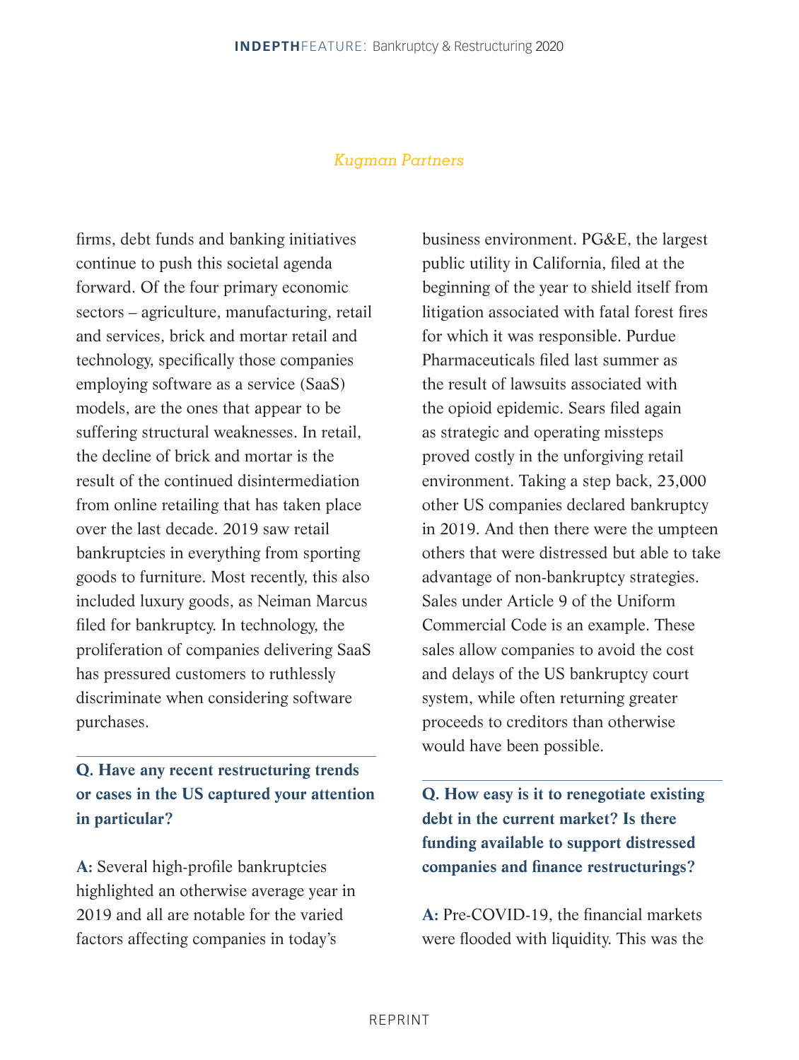firms, debt funds and banking initiatives continue to push this societal agenda forward. Of the four primary economic sectors – agriculture, manufacturing, retail and services, brick and mortar retail and technology, specifically those companies employing software as a service (SaaS) models, are the ones that appear to be suffering structural weaknesses. In retail, the decline of brick and mortar is the result of the continued disintermediation from online retailing that has taken place over the last decade. 2019 saw retail bankruptcies in everything from sporting goods to furniture. Most recently, this also included luxury goods, as Neiman Marcus filed for bankruptcy. In technology, the proliferation of companies delivering SaaS has pressured customers to ruthlessly discriminate when considering software purchases.

#### **Q. Have any recent restructuring trends or cases in the US captured your attention in particular?**

**A:** Several high-profile bankruptcies highlighted an otherwise average year in 2019 and all are notable for the varied factors affecting companies in today's

business environment. PG&E, the largest public utility in California, filed at the beginning of the year to shield itself from litigation associated with fatal forest fires for which it was responsible. Purdue Pharmaceuticals filed last summer as the result of lawsuits associated with the opioid epidemic. Sears filed again as strategic and operating missteps proved costly in the unforgiving retail environment. Taking a step back, 23,000 other US companies declared bankruptcy in 2019. And then there were the umpteen others that were distressed but able to take advantage of non-bankruptcy strategies. Sales under Article 9 of the Uniform Commercial Code is an example. These sales allow companies to avoid the cost and delays of the US bankruptcy court system, while often returning greater proceeds to creditors than otherwise would have been possible.

**Q. How easy is it to renegotiate existing debt in the current market? Is there funding available to support distressed companies and finance restructurings?**

**A:** Pre-COVID-19, the financial markets were flooded with liquidity. This was the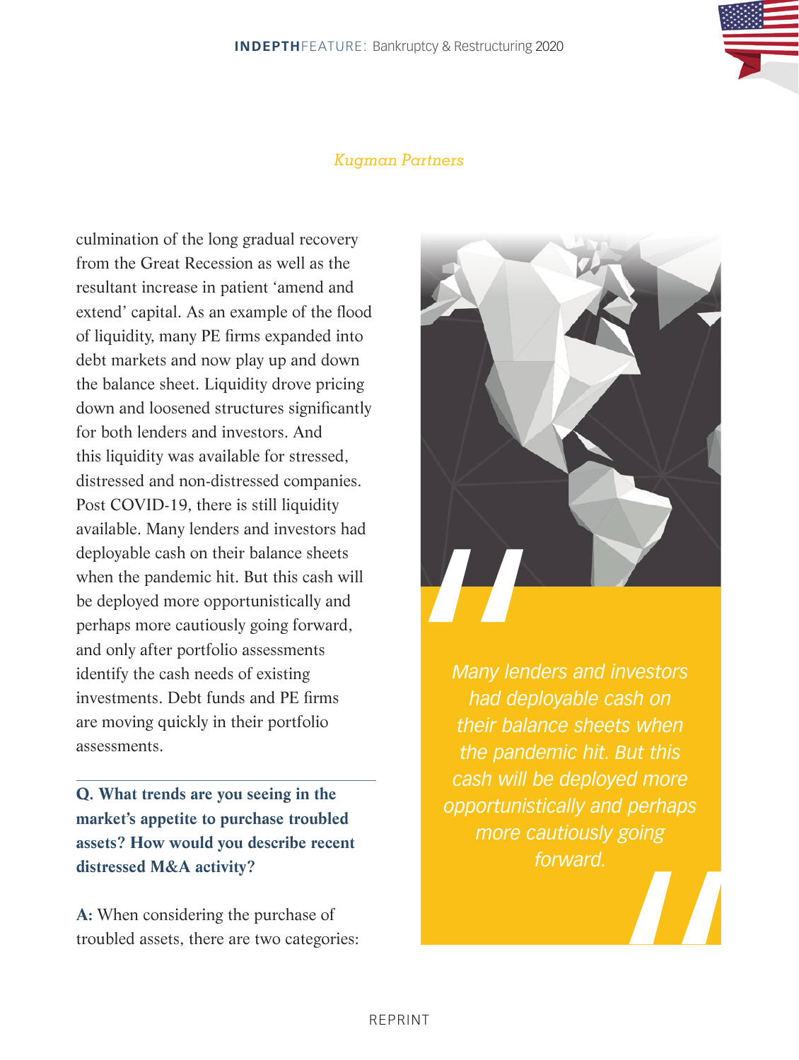culmination of the long gradual recovery from the Great Recession as well as the resultant increase in patient 'amend and extend' capital. As an example of the flood of liquidity, many PE firms expanded into debt markets and now play up and down the balance sheet. Liquidity drove pricing down and loosened structures significantly for both lenders and investors. And this liquidity was available for stressed, distressed and non-distressed companies. Post COVID-19, there is still liquidity available. Many lenders and investors had deployable cash on their balance sheets when the pandemic hit. But this cash will be deployed more opportunistically and perhaps more cautiously going forward, and only after portfolio assessments identify the cash needs of existing investments. Debt funds and PE firms are moving quickly in their portfolio assessments.

**Q. What trends are you seeing in the market's appetite to purchase troubled assets? How would you describe recent distressed M&A activity?**

**A:** When considering the purchase of troubled assets, there are two categories:



Many lend<br>
had depi<br>
their balal<br>
the pande<br>
cash will b<br>
opportunist<br>
more ca *Many lenders and investors had deployable cash on their balance sheets when the pandemic hit. But this cash will be deployed more opportunistically and perhaps more cautiously going forward.*

"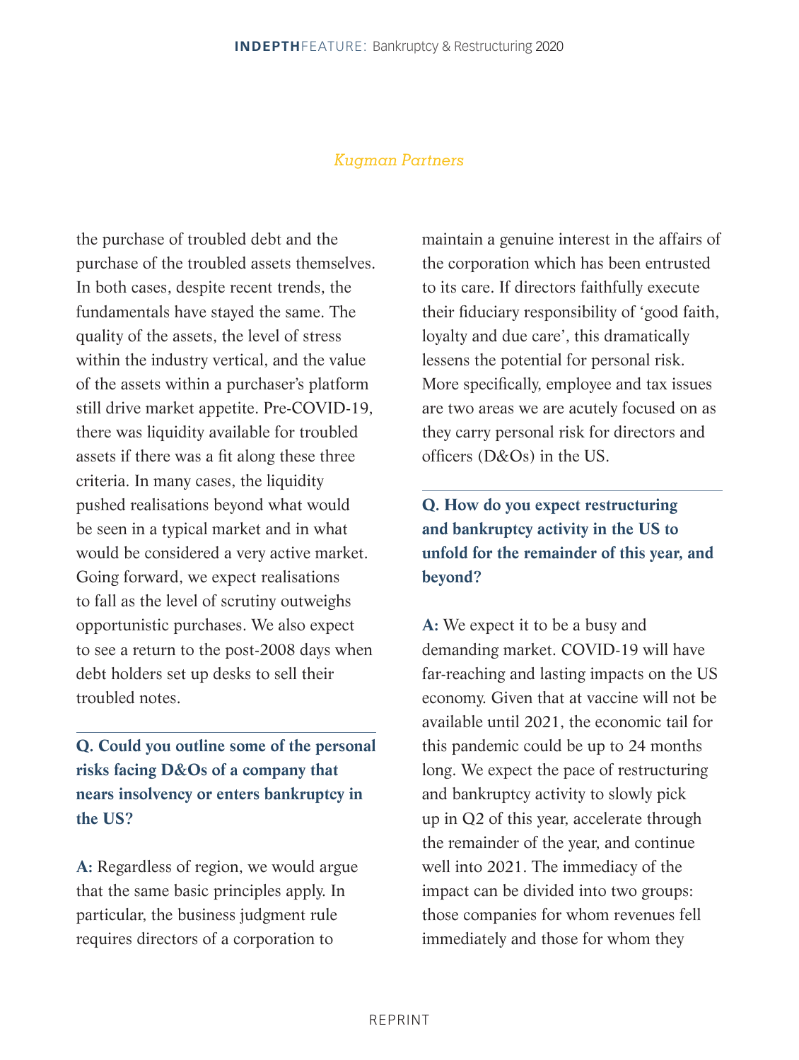the purchase of troubled debt and the purchase of the troubled assets themselves. In both cases, despite recent trends, the fundamentals have stayed the same. The quality of the assets, the level of stress within the industry vertical, and the value of the assets within a purchaser's platform still drive market appetite. Pre-COVID-19, there was liquidity available for troubled assets if there was a fit along these three criteria. In many cases, the liquidity pushed realisations beyond what would be seen in a typical market and in what would be considered a very active market. Going forward, we expect realisations to fall as the level of scrutiny outweighs opportunistic purchases. We also expect to see a return to the post-2008 days when debt holders set up desks to sell their troubled notes.

**Q. Could you outline some of the personal risks facing D&Os of a company that nears insolvency or enters bankruptcy in the US?**

**A:** Regardless of region, we would argue that the same basic principles apply. In particular, the business judgment rule requires directors of a corporation to

maintain a genuine interest in the affairs of the corporation which has been entrusted to its care. If directors faithfully execute their fiduciary responsibility of 'good faith, loyalty and due care', this dramatically lessens the potential for personal risk. More specifically, employee and tax issues are two areas we are acutely focused on as they carry personal risk for directors and officers (D&Os) in the US.

### **Q. How do you expect restructuring and bankruptcy activity in the US to unfold for the remainder of this year, and beyond?**

**A:** We expect it to be a busy and demanding market. COVID-19 will have far-reaching and lasting impacts on the US economy. Given that at vaccine will not be available until 2021, the economic tail for this pandemic could be up to 24 months long. We expect the pace of restructuring and bankruptcy activity to slowly pick up in Q2 of this year, accelerate through the remainder of the year, and continue well into 2021. The immediacy of the impact can be divided into two groups: those companies for whom revenues fell immediately and those for whom they